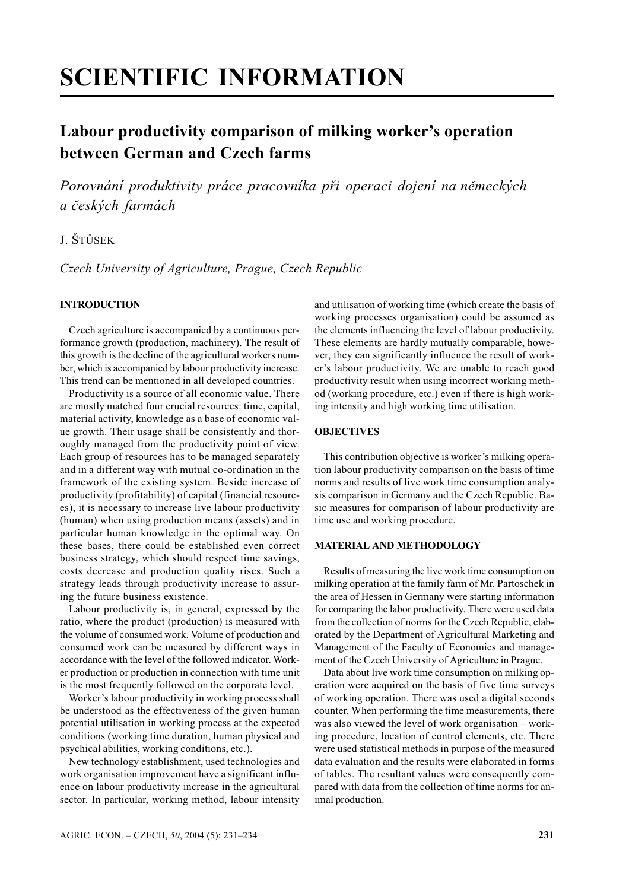# **SCIENTIFIC INFORMATION**

## Labour productivity comparison of milking worker's operation between German and Czech farms

Porovnání produktivity práce pracovníka při operaci dojení na německých a českých farmách

### J. ŠTŮSEK

Czech University of Agriculture, Prague, Czech Republic

#### **INTRODUCTION**

Czech agriculture is accompanied by a continuous performance growth (production, machinery). The result of this growth is the decline of the agricultural workers number, which is accompanied by labour productivity increase. This trend can be mentioned in all developed countries.

Productivity is a source of all economic value. There are mostly matched four crucial resources: time, capital, material activity, knowledge as a base of economic value growth. Their usage shall be consistently and thoroughly managed from the productivity point of view. Each group of resources has to be managed separately and in a different way with mutual co-ordination in the framework of the existing system. Beside increase of productivity (profitability) of capital (financial resources), it is necessary to increase live labour productivity (human) when using production means (assets) and in particular human knowledge in the optimal way. On these bases, there could be established even correct business strategy, which should respect time savings, costs decrease and production quality rises. Such a strategy leads through productivity increase to assuring the future business existence.

Labour productivity is, in general, expressed by the ratio, where the product (production) is measured with the volume of consumed work. Volume of production and consumed work can be measured by different ways in accordance with the level of the followed indicator. Worker production or production in connection with time unit is the most frequently followed on the corporate level.

Worker's labour productivity in working process shall be understood as the effectiveness of the given human potential utilisation in working process at the expected conditions (working time duration, human physical and psychical abilities, working conditions, etc.).

New technology establishment, used technologies and work organisation improvement have a significant influence on labour productivity increase in the agricultural sector. In particular, working method, labour intensity and utilisation of working time (which create the basis of working processes organisation) could be assumed as the elements influencing the level of labour productivity. These elements are hardly mutually comparable, however, they can significantly influence the result of worker's labour productivity. We are unable to reach good productivity result when using incorrect working method (working procedure, etc.) even if there is high working intensity and high working time utilisation.

#### **OBJECTIVES**

This contribution objective is worker's milking operation labour productivity comparison on the basis of time norms and results of live work time consumption analysis comparison in Germany and the Czech Republic. Basic measures for comparison of labour productivity are time use and working procedure.

#### **MATERIAL AND METHODOLOGY**

Results of measuring the live work time consumption on milking operation at the family farm of Mr. Partoschek in the area of Hessen in Germany were starting information for comparing the labor productivity. There were used data from the collection of norms for the Czech Republic, elaborated by the Department of Agricultural Marketing and Management of the Faculty of Economics and management of the Czech University of Agriculture in Prague.

Data about live work time consumption on milking operation were acquired on the basis of five time surveys of working operation. There was used a digital seconds counter. When performing the time measurements, there was also viewed the level of work organisation – working procedure, location of control elements, etc. There were used statistical methods in purpose of the measured data evaluation and the results were elaborated in forms of tables. The resultant values were consequently compared with data from the collection of time norms for animal production.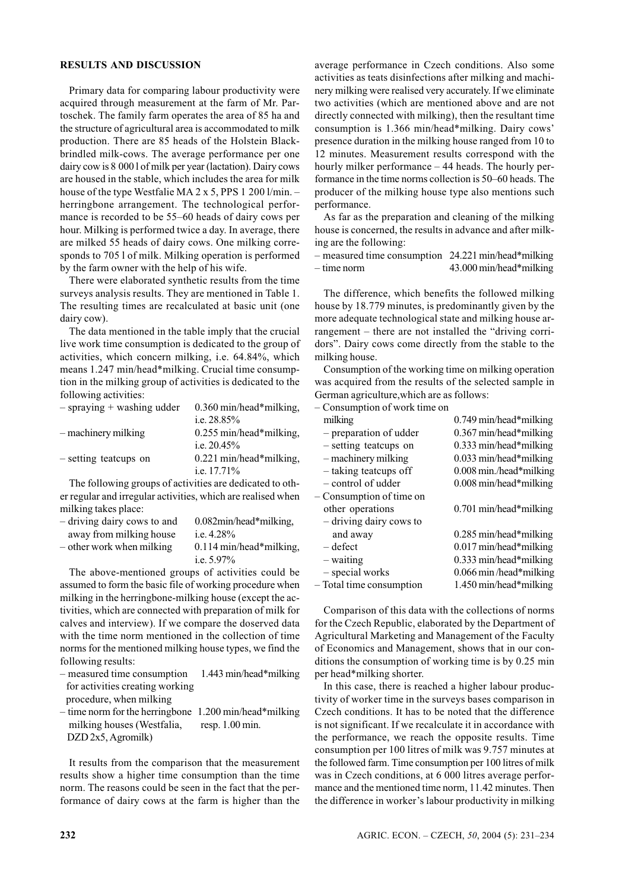#### **RESULTS AND DISCUSSION**

Primary data for comparing labour productivity were acquired through measurement at the farm of Mr. Partoschek. The family farm operates the area of 85 ha and the structure of agricultural area is accommodated to milk production. There are 85 heads of the Holstein Blackbrindled milk-cows. The average performance per one dairy cow is 8 0001 of milk per year (lactation). Dairy cows are housed in the stable, which includes the area for milk house of the type Westfalie MA  $2 \times 5$ . PPS 1 200  $1/\text{min}$ . herringbone arrangement. The technological performance is recorded to be 55–60 heads of dairy cows per hour. Milking is performed twice a day. In average, there are milked 55 heads of dairy cows. One milking corresponds to 705 l of milk. Milking operation is performed by the farm owner with the help of his wife.

There were elaborated synthetic results from the time surveys analysis results. They are mentioned in Table 1. The resulting times are recalculated at basic unit (one dairy cow).

The data mentioned in the table imply that the crucial live work time consumption is dedicated to the group of activities, which concern milking, i.e. 64.84%, which means 1.247 min/head\*milking. Crucial time consumption in the milking group of activities is dedicated to the following activities:

| $-$ spraying $+$ washing udder | $0.360$ min/head*milking. |  |  |
|--------------------------------|---------------------------|--|--|
|                                | i.e. 28.85%               |  |  |
| - machinery milking            | $0.255$ min/head*milking. |  |  |
|                                | i.e. $20.45\%$            |  |  |
| - setting teatcups on          | $0.221$ min/head*milking. |  |  |
|                                | i.e. $17.71\%$            |  |  |

The following groups of activities are dedicated to other regular and irregular activities, which are realised when milking takes place:

| - driving dairy cows to and | 0.082min/head*milking,    |
|-----------------------------|---------------------------|
| away from milking house     | i.e. $4.28\%$             |
| - other work when milking   | $0.114$ min/head*milking. |
|                             | i.e. $5.97\%$             |

The above-mentioned groups of activities could be assumed to form the basic file of working procedure when milking in the herringbone-milking house (except the activities, which are connected with preparation of milk for calves and interview). If we compare the doserved data with the time norm mentioned in the collection of time norms for the mentioned milking house types, we find the following results:

- measured time consumption 1.443 min/head\*milking for activities creating working procedure, when milking
- $-$  time norm for the herringbone 1.200 min/head\*milking milking houses (Westfalia, resp. 1.00 min. DZD 2x5, Agromilk)

It results from the comparison that the measurement results show a higher time consumption than the time norm. The reasons could be seen in the fact that the performance of dairy cows at the farm is higher than the average performance in Czech conditions. Also some activities as teats disinfections after milking and machinery milking were realised very accurately. If we eliminate two activities (which are mentioned above and are not directly connected with milking), then the resultant time consumption is 1.366 min/head\*milking. Dairy cows' presence duration in the milking house ranged from 10 to 12 minutes. Measurement results correspond with the hourly milker performance - 44 heads. The hourly performance in the time norms collection is 50–60 heads. The producer of the milking house type also mentions such performance.

As far as the preparation and cleaning of the milking house is concerned, the results in advance and after milking are the following:

- measured time consumption 24.221 min/head\*milking  $-$  time norm 43.000 min/head\*milking

The difference, which benefits the followed milking house by 18.779 minutes, is predominantly given by the more adequate technological state and milking house arrangement – there are not installed the "driving corridors". Dairy cows come directly from the stable to the milking house.

Consumption of the working time on milking operation was acquired from the results of the selected sample in German agriculture, which are as follows:

| Consumption of work time on |                           |
|-----------------------------|---------------------------|
| milking                     | $0.749$ min/head*milking  |
| - preparation of udder      | 0.367 min/head*milking    |
| - setting teatcups on       | $0.333$ min/head*milking  |
| - machinery milking         | $0.033$ min/head*milking  |
| - taking teatcups off       | $0.008$ min./head*milking |
| - control of udder          | $0.008$ min/head*milking  |
| Consumption of time on      |                           |
| other operations            | $0.701$ min/head*milking  |
| - driving dairy cows to     |                           |
| and away                    | $0.285$ min/head*milking  |
| – defect                    | $0.017$ min/head*milking  |
| – waiting                   | $0.333$ min/head*milking  |
| - special works             | 0.066 min/head*milking    |
| - Total time consumption    | 1.450 min/head*milking    |
|                             |                           |

Comparison of this data with the collections of norms for the Czech Republic, elaborated by the Department of Agricultural Marketing and Management of the Faculty of Economics and Management, shows that in our conditions the consumption of working time is by 0.25 min per head\*milking shorter.

In this case, there is reached a higher labour productivity of worker time in the surveys bases comparison in Czech conditions. It has to be noted that the difference is not significant. If we recalculate it in accordance with the performance, we reach the opposite results. Time consumption per 100 litres of milk was 9.757 minutes at the followed farm. Time consumption per 100 litres of milk was in Czech conditions, at 6 000 litres average performance and the mentioned time norm, 11.42 minutes. Then the difference in worker's labour productivity in milking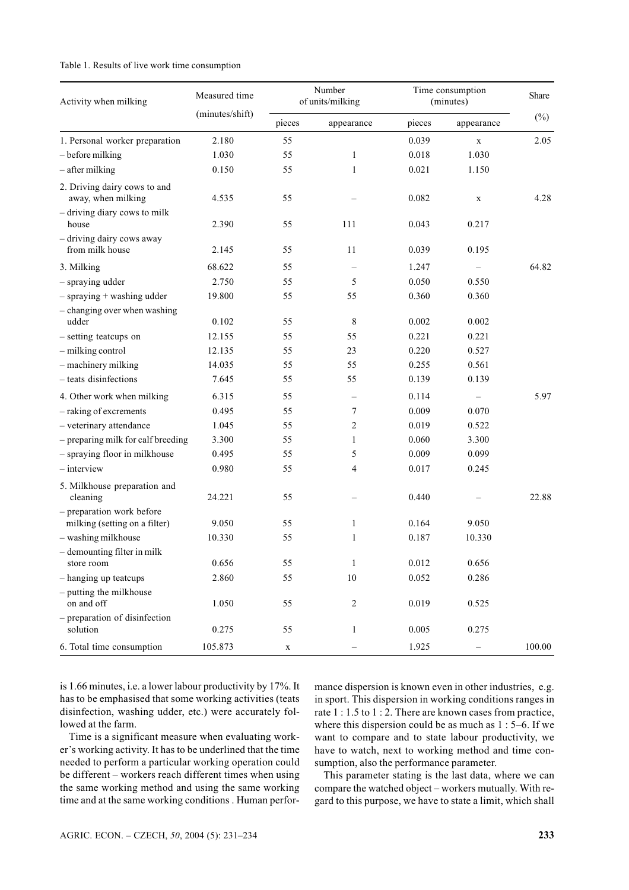#### Table 1. Results of live work time consumption

| Activity when milking                                      | Measured time<br>(minutes/shift) | Number<br>of units/milking |              | Time consumption<br>(minutes) |                   | Share  |
|------------------------------------------------------------|----------------------------------|----------------------------|--------------|-------------------------------|-------------------|--------|
|                                                            |                                  | pieces                     | appearance   | pieces                        | appearance        | $(\%)$ |
| 1. Personal worker preparation                             | 2.180                            | 55                         |              | 0.039                         | $\mathbf X$       | 2.05   |
| - before milking                                           | 1.030                            | 55                         | 1            | 0.018                         | 1.030             |        |
| $-$ after milking                                          | 0.150                            | 55                         | $\mathbf{1}$ | 0.021                         | 1.150             |        |
| 2. Driving dairy cows to and<br>away, when milking         | 4.535                            | 55                         |              | 0.082                         | $\mathbf X$       | 4.28   |
| - driving diary cows to milk<br>house                      | 2.390                            | 55                         | 111          | 0.043                         | 0.217             |        |
| - driving dairy cows away<br>from milk house               | 2.145                            | 55                         | 11           | 0.039                         | 0.195             |        |
| 3. Milking                                                 | 68.622                           | 55                         |              | 1.247                         |                   | 64.82  |
| - spraying udder                                           | 2.750                            | 55                         | 5            | 0.050                         | 0.550             |        |
| $-$ spraying $+$ washing udder                             | 19.800                           | 55                         | 55           | 0.360                         | 0.360             |        |
| - changing over when washing<br>udder                      | 0.102                            | 55                         | 8            | 0.002                         | 0.002             |        |
| - setting teatcups on                                      | 12.155                           | 55                         | 55           | 0.221                         | 0.221             |        |
| - milking control                                          | 12.135                           | 55                         | 23           | 0.220                         | 0.527             |        |
| - machinery milking                                        | 14.035                           | 55                         | 55           | 0.255                         | 0.561             |        |
| - teats disinfections                                      | 7.645                            | 55                         | 55           | 0.139                         | 0.139             |        |
| 4. Other work when milking                                 | 6.315                            | 55                         |              | 0.114                         |                   | 5.97   |
| - raking of excrements                                     | 0.495                            | 55                         | 7            | 0.009                         | 0.070             |        |
| - veterinary attendance                                    | 1.045                            | 55                         | 2            | 0.019                         | 0.522             |        |
| - preparing milk for calf breeding                         | 3.300                            | 55                         | 1            | 0.060                         | 3.300             |        |
| - spraying floor in milkhouse                              | 0.495                            | 55                         | 5            | 0.009                         | 0.099             |        |
| $-$ interview                                              | 0.980                            | 55                         | 4            | 0.017                         | 0.245             |        |
| 5. Milkhouse preparation and<br>cleaning                   | 24.221                           | 55                         |              | 0.440                         |                   | 22.88  |
| - preparation work before<br>milking (setting on a filter) | 9.050                            | 55                         | 1            | 0.164                         | 9.050             |        |
| - washing milkhouse                                        | 10.330                           | 55                         | $\mathbf{1}$ | 0.187                         | 10.330            |        |
| - demounting filter in milk<br>store room                  | 0.656                            | 55                         | $\mathbf{1}$ | 0.012                         | 0.656             |        |
| - hanging up teatcups                                      | 2.860                            | 55                         | 10           | 0.052                         | 0.286             |        |
| - putting the milkhouse<br>on and off                      | 1.050                            | 55                         | 2            | 0.019                         | 0.525             |        |
| - preparation of disinfection<br>solution                  | 0.275                            | 55                         | 1            | 0.005                         | 0.275             |        |
| 6. Total time consumption                                  | 105.873                          | $\mathbf X$                |              | 1.925                         | $\qquad \qquad -$ | 100.00 |

is 1.66 minutes, i.e. a lower labour productivity by 17%. It has to be emphasised that some working activities (teats disinfection, washing udder, etc.) were accurately followed at the farm.

Time is a significant measure when evaluating worker's working activity. It has to be underlined that the time needed to perform a particular working operation could be different – workers reach different times when using the same working method and using the same working time and at the same working conditions. Human performance dispersion is known even in other industries, e.g. in sport. This dispersion in working conditions ranges in rate  $1:1.5$  to  $1:2$ . There are known cases from practice, where this dispersion could be as much as  $1:5-6$ . If we want to compare and to state labour productivity, we have to watch, next to working method and time consumption, also the performance parameter.

This parameter stating is the last data, where we can compare the watched object – workers mutually. With regard to this purpose, we have to state a limit, which shall